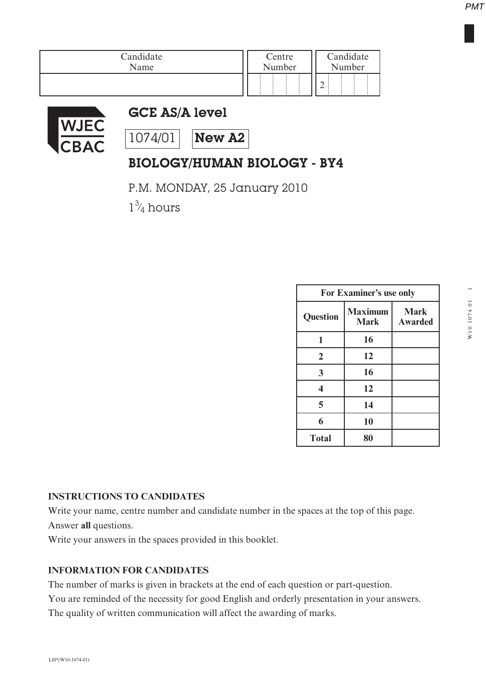| Candidate | Centre | Candidate |  |  |
|-----------|--------|-----------|--|--|
| Name      | Number | Number    |  |  |
|           |        | $\sim$    |  |  |



## GCE AS/A level

 $1074/01$  New A2

# BIOLOGY/HUMAN BIOLOGY - BY4

P.M. MONDAY, 25 January 2010

 $1\frac{3}{4}$  hours ⁄

| For Examiner's use only |                               |                        |
|-------------------------|-------------------------------|------------------------|
| <b>Question</b>         | <b>Maximum</b><br><b>Mark</b> | <b>Mark</b><br>Awarded |
| 1                       | 16                            |                        |
| $\overline{2}$          | 12                            |                        |
| 3                       | 16                            |                        |
| 4                       | 12                            |                        |
| 5                       | 14                            |                        |
| 6                       | 10                            |                        |
| <b>Total</b>            | 80                            |                        |

#### **INSTRUCTIONS TO CANDIDATES**

Write your name, centre number and candidate number in the spaces at the top of this page. Answer **all** questions.

Write your answers in the spaces provided in this booklet.

### **INFORMATION FOR CANDIDATES**

The number of marks is given in brackets at the end of each question or part-question.

You are reminded of the necessity for good English and orderly presentation in your answers. The quality of written communication will affect the awarding of marks.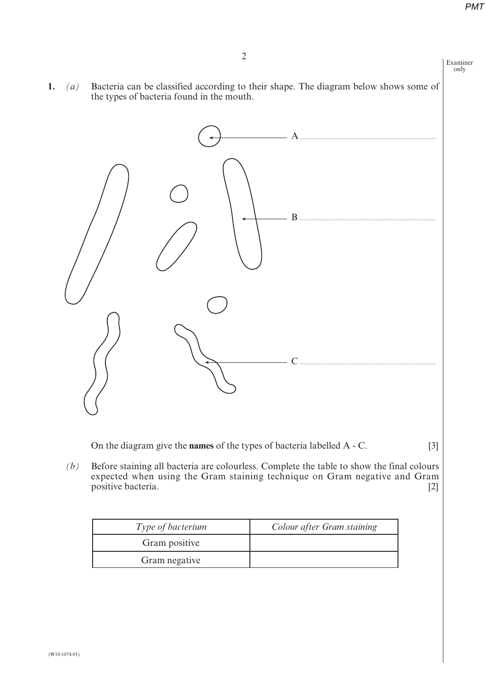

*(b)* Before staining all bacteria are colourless. Complete the table to show the final colours expected when using the Gram staining technique on Gram negative and Gram positive bacteria. [2]

| <i>Type of bacterium</i> | Colour after Gram staining |
|--------------------------|----------------------------|
| Gram positive            |                            |
| Gram negative            |                            |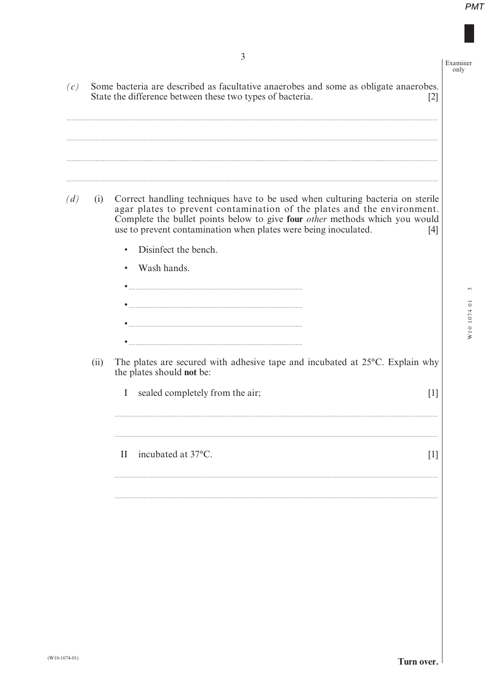| (c) |      | Some bacteria are described as facultative anaerobes and some as obligate anaerobes.                                                                                                                                                                                                                                      | Examiner<br>only           |
|-----|------|---------------------------------------------------------------------------------------------------------------------------------------------------------------------------------------------------------------------------------------------------------------------------------------------------------------------------|----------------------------|
|     |      | State the difference between these two types of bacteria.<br>$\lceil 2 \rceil$                                                                                                                                                                                                                                            |                            |
| (d) | (i)  | Correct handling techniques have to be used when culturing bacteria on sterile<br>agar plates to prevent contamination of the plates and the environment.<br>Complete the bullet points below to give four <i>other</i> methods which you would<br>use to prevent contamination when plates were being inoculated.<br>[4] |                            |
|     |      | Disinfect the bench.<br>Wash hands.<br>$\bullet$                                                                                                                                                                                                                                                                          | $\ddot{\circ}$<br>W10 1074 |
|     | (ii) | The plates are secured with adhesive tape and incubated at 25°C. Explain why<br>the plates should not be:<br>sealed completely from the air;<br>$\bf{I}$<br>$\lceil 1 \rceil$                                                                                                                                             |                            |
|     |      | incubated at 37°C.<br>$\mathbf{H}$<br>$\lceil 1 \rceil$                                                                                                                                                                                                                                                                   |                            |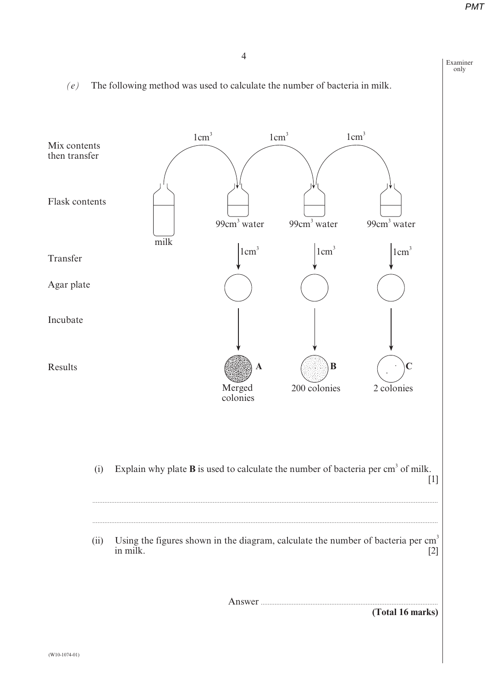Examiner only



#### *(e)* The following method was used to calculate the number of bacteria in milk.

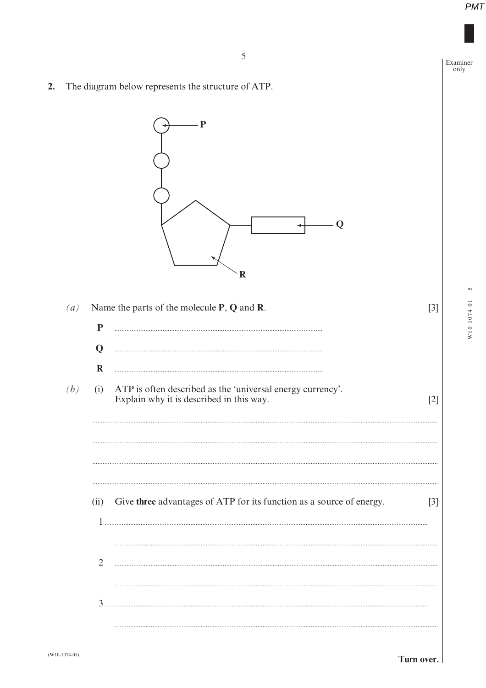Examiner only

W10 1074 01

The diagram below represents the structure of ATP.  $2.$ 



Turn over.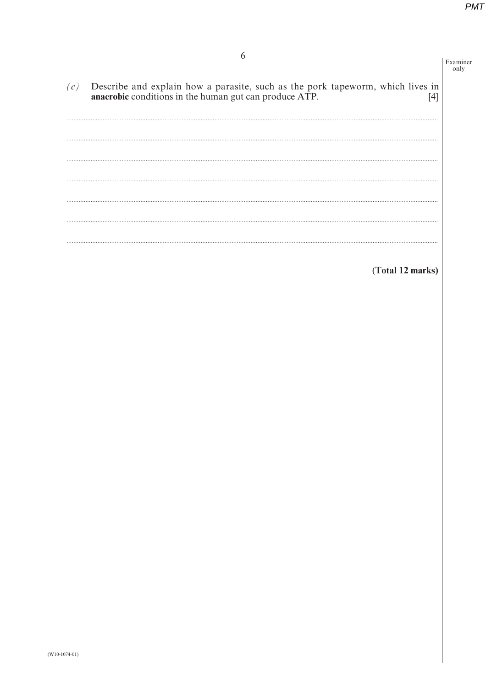| 6                                                                                                                                                        | Examiner<br>only |
|----------------------------------------------------------------------------------------------------------------------------------------------------------|------------------|
| Describe and explain how a parasite, such as the pork tapeworm, which lives in<br>(c)<br>anaerobic conditions in the human gut can produce ATP.<br>$[4]$ |                  |
|                                                                                                                                                          |                  |
|                                                                                                                                                          |                  |
|                                                                                                                                                          |                  |
|                                                                                                                                                          |                  |
| (Total 12 marks)                                                                                                                                         |                  |
|                                                                                                                                                          |                  |
|                                                                                                                                                          |                  |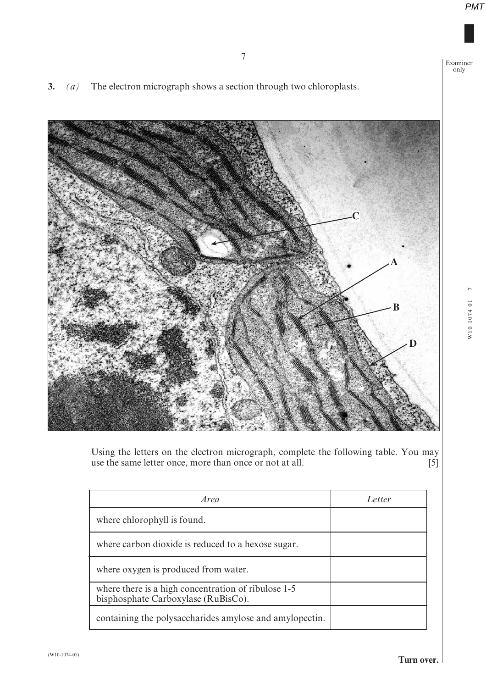Examiner only

**3.** *(a)* The electron micrograph shows a section through two chloroplasts.



Using the letters on the electron micrograph, complete the following table. You may use the same letter once, more than once or not at all.  $[5]$ 

| Area                                                                                       | Letter |
|--------------------------------------------------------------------------------------------|--------|
| where chlorophyll is found.                                                                |        |
| where carbon dioxide is reduced to a hexose sugar.                                         |        |
| where oxygen is produced from water.                                                       |        |
| where there is a high concentration of ribulose 1-5<br>bisphosphate Carboxylase (RuBisCo). |        |
| containing the polysaccharides amylose and amylopectin.                                    |        |

 $\overline{r}$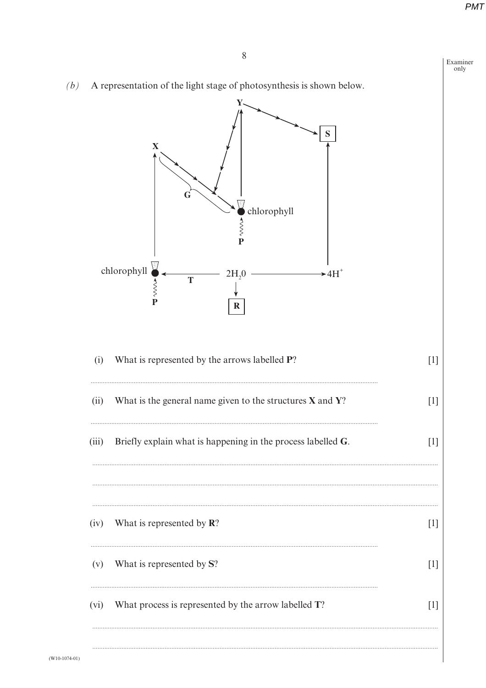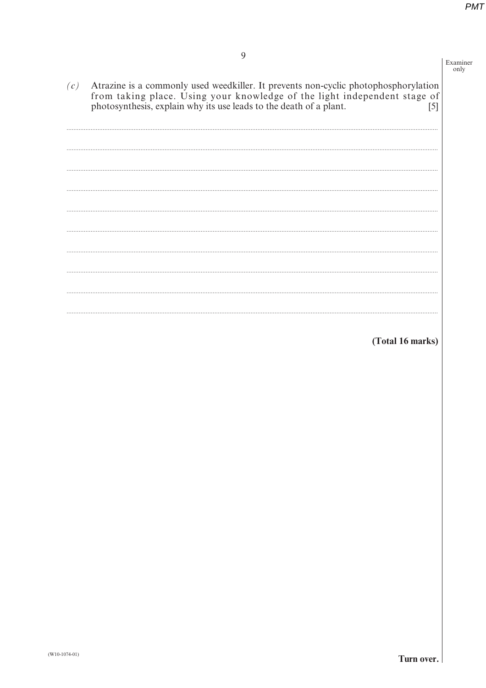$\frac{\text{num}}{\text{only}}$ 

(Total 16 marks)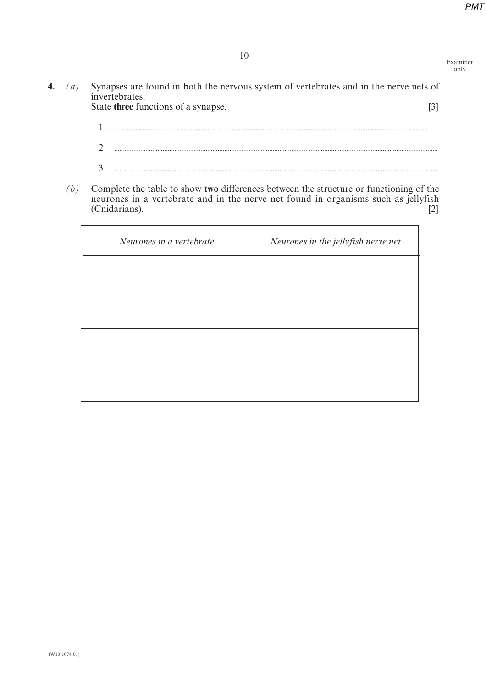Examiner only

- **4.** *(a)* Synapses are found in both the nervous system of vertebrates and in the nerve nets of invertebrates. State **three** functions of a synapse. [3]
	- 1 **............................................................................................................................................................................................** 2 **............................................................................................................................................................................................** 3 **............................................................................................................................................................................................**
	- *(b)* Complete the table to show **two** differences between the structure or functioning of the neurones in a vertebrate and in the nerve net found in organisms such as jellyfish (Cnidarians). [2]

| Neurones in a vertebrate | Neurones in the jellyfish nerve net |
|--------------------------|-------------------------------------|
|                          |                                     |
|                          |                                     |
|                          |                                     |
|                          |                                     |
|                          |                                     |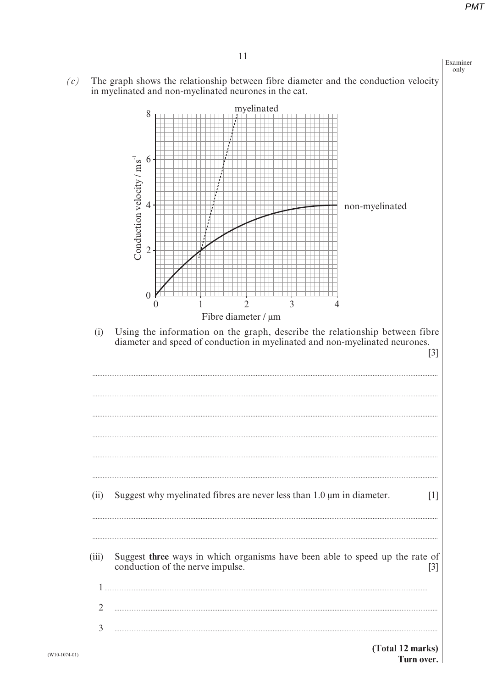

 $(W10-1074-01)$ 

#### (Total 12 marks) Turn over.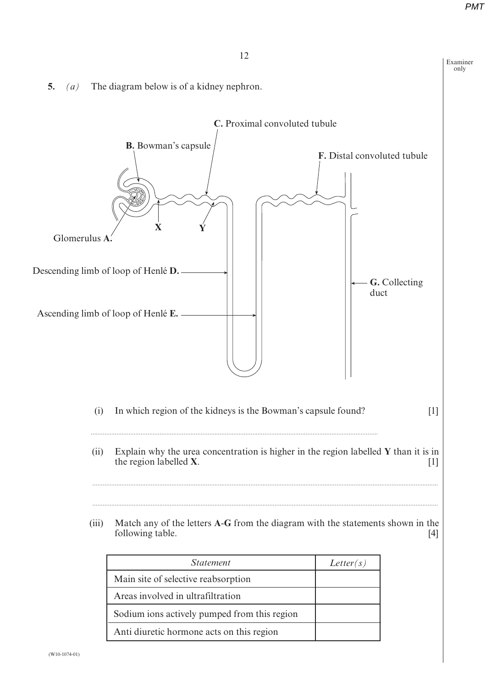Examiner only





| <i>Statement</i>                             | Letter(s) |
|----------------------------------------------|-----------|
| Main site of selective reabsorption          |           |
| Areas involved in ultrafiltration            |           |
| Sodium ions actively pumped from this region |           |
| Anti diuretic hormone acts on this region    |           |
|                                              |           |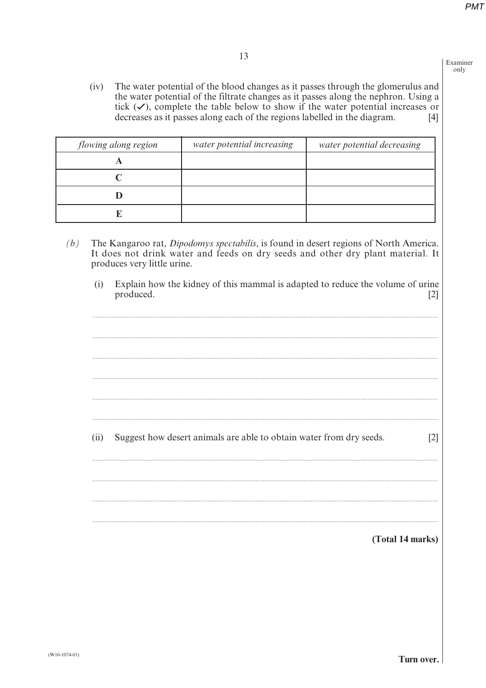Examiner  $\alpha$ nly

 $(iv)$ The water potential of the blood changes as it passes through the glomerulus and the water potential of the filtrate changes as it passes along the nephron. Using a tick  $(\checkmark)$ , complete the table below to show if the water potential increases or decreases as it passes along each of the regions labelled in the diagram.  $[4]$ 

| flowing along region | water potential increasing | water potential decreasing |
|----------------------|----------------------------|----------------------------|
|                      |                            |                            |
|                      |                            |                            |
|                      |                            |                            |
|                      |                            |                            |

- The Kangaroo rat, Dipodomys spectabilis, is found in desert regions of North America.  $(b)$ It does not drink water and feeds on dry seeds and other dry plant material. It produces very little urine.
	- Explain how the kidney of this mammal is adapted to reduce the volume of urine  $(i)$ produced.  $\lceil 2 \rceil$

 $(ii)$ Suggest how desert animals are able to obtain water from dry seeds.  $[2]$ 

(Total 14 marks)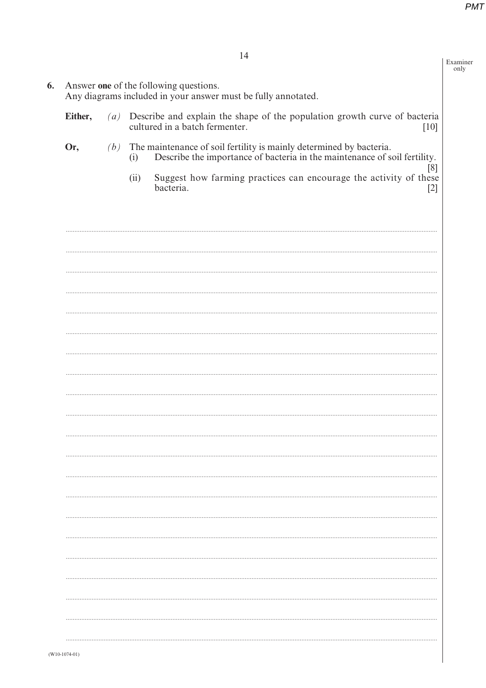Examiner<br>only

**6.** Answer one of the following questions.<br>Any diagrams included in your answer must be fully annotated.

| Either, | $\left( a\right)$ | Describe and explain the shape of the population growth curve of bacteria<br>cultured in a batch fermenter.<br>$[10]$                                         |
|---------|-------------------|---------------------------------------------------------------------------------------------------------------------------------------------------------------|
| Or,     |                   | $(b)$ The maintenance of soil fertility is mainly determined by bacteria.<br>Describe the importance of bacteria in the maintenance of soil fertility.<br>(i) |
|         |                   | [8]<br>Suggest how farming practices can encourage the activity of these<br>(ii)<br>bacteria.<br>$[2]$                                                        |
|         |                   |                                                                                                                                                               |
|         |                   |                                                                                                                                                               |
|         |                   |                                                                                                                                                               |
|         |                   |                                                                                                                                                               |
|         |                   |                                                                                                                                                               |
|         |                   |                                                                                                                                                               |
|         |                   |                                                                                                                                                               |
|         |                   |                                                                                                                                                               |
|         |                   |                                                                                                                                                               |
|         |                   |                                                                                                                                                               |
|         |                   |                                                                                                                                                               |
|         |                   |                                                                                                                                                               |
|         |                   |                                                                                                                                                               |
|         |                   |                                                                                                                                                               |
|         |                   |                                                                                                                                                               |
|         |                   |                                                                                                                                                               |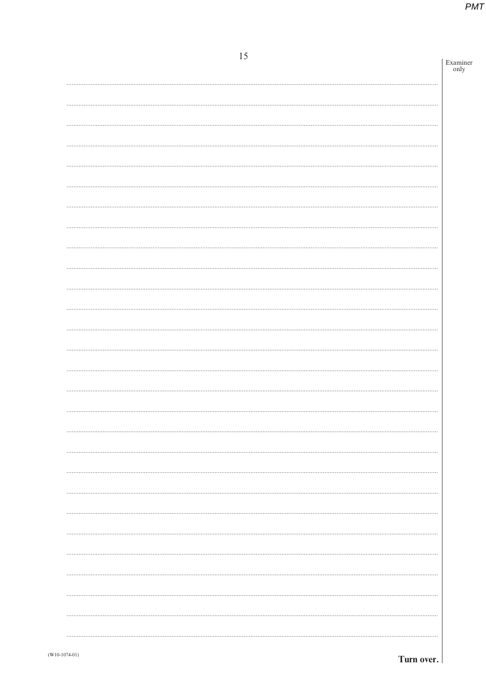| 15 | Examiner |
|----|----------|
|    | only     |
|    |          |
|    |          |
|    |          |
|    |          |
|    |          |
|    |          |
|    |          |
|    |          |
|    |          |
|    |          |
|    |          |
|    |          |
|    |          |
|    |          |
|    |          |
|    |          |
|    |          |
|    |          |
|    |          |
|    |          |
|    |          |
|    |          |
|    |          |
|    |          |
|    |          |
|    |          |
|    |          |
|    |          |
|    |          |
|    |          |
|    |          |
|    |          |
|    |          |
|    |          |